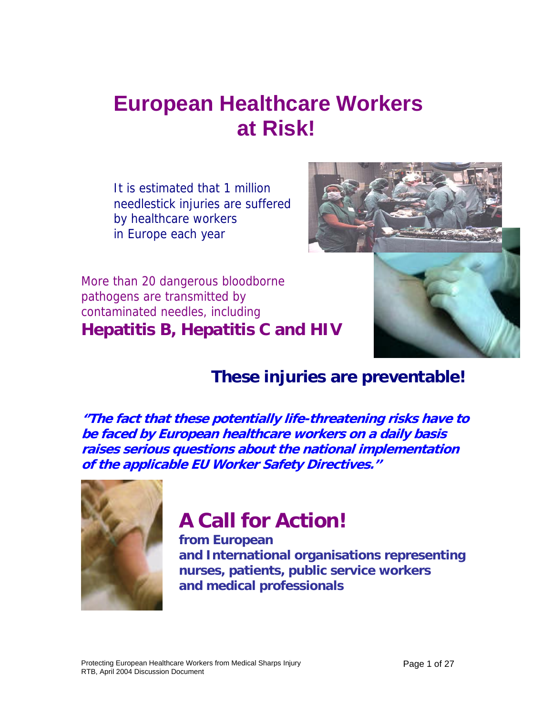# **European Healthcare Workers at Risk!**

It is estimated that 1 million needlestick injuries are suffered by healthcare workers in Europe each year



More than 20 dangerous bloodborne pathogens are transmitted by contaminated needles, including **Hepatitis B, Hepatitis C and HIV** 

## **These injuries are preventable!**

**''The fact that these potentially life-threatening risks have to be faced by European healthcare workers on a daily basis raises serious questions about the national implementation of the applicable EU Worker Safety Directives.''** 



# **A Call for Action!**

**from European and International organisations representing nurses, patients, public service workers and medical professionals**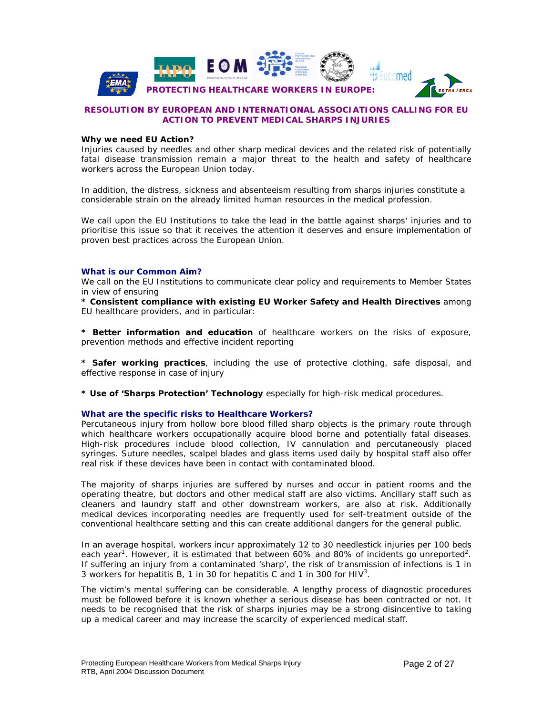

#### **RESOLUTION BY EUROPEAN AND INTERNATIONAL ASSOCIATIONS CALLING FOR EU ACTION TO PREVENT MEDICAL SHARPS INJURIES**

#### **Why we need EU Action?**

Injuries caused by needles and other sharp medical devices and the related risk of potentially fatal disease transmission remain a major threat to the health and safety of healthcare workers across the European Union today.

In addition, the distress, sickness and absenteeism resulting from sharps injuries constitute a considerable strain on the already limited human resources in the medical profession.

We call upon the EU Institutions to take the lead in the battle against sharps' injuries and to prioritise this issue so that it receives the attention it deserves and ensure implementation of proven best practices across the European Union.

#### **What is our Common Aim?**

We call on the EU Institutions to communicate clear policy and requirements to Member States in view of ensuring

**\* Consistent compliance with existing EU Worker Safety and Health Directives** among EU healthcare providers, and in particular:

**\* Better information and education** of healthcare workers on the risks of exposure, prevention methods and effective incident reporting

**\* Safer working practices**, including the use of protective clothing, safe disposal, and effective response in case of injury

**\* Use of 'Sharps Protection' Technology** especially for high-risk medical procedures.

#### **What are the specific risks to Healthcare Workers?**

Percutaneous injury from hollow bore blood filled sharp objects is the primary route through which healthcare workers occupationally acquire blood borne and potentially fatal diseases. High-risk procedures include blood collection, IV cannulation and percutaneously placed syringes. Suture needles, scalpel blades and glass items used daily by hospital staff also offer real risk if these devices have been in contact with contaminated blood.

The majority of sharps injuries are suffered by nurses and occur in patient rooms and the operating theatre, but doctors and other medical staff are also victims. Ancillary staff such as cleaners and laundry staff and other downstream workers, are also at risk. Additionally medical devices incorporating needles are frequently used for self-treatment outside of the conventional healthcare setting and this can create additional dangers for the general public.

In an average hospital, workers incur approximately 12 to 30 needlestick injuries per 100 beds each year<sup>1</sup>. However, it is estimated that between 60% and 80% of incidents go unreported<sup>2</sup>. If suffering an injury from a contaminated 'sharp', the risk of transmission of infections is 1 in 3 workers for hepatitis B, 1 in 30 for hepatitis C and 1 in 300 for HIV<sup>3</sup>.

The victim's mental suffering can be considerable. A lengthy process of diagnostic procedures must be followed before it is known whether a serious disease has been contracted or not. It needs to be recognised that the risk of sharps injuries may be a strong disincentive to taking up a medical career and may increase the scarcity of experienced medical staff.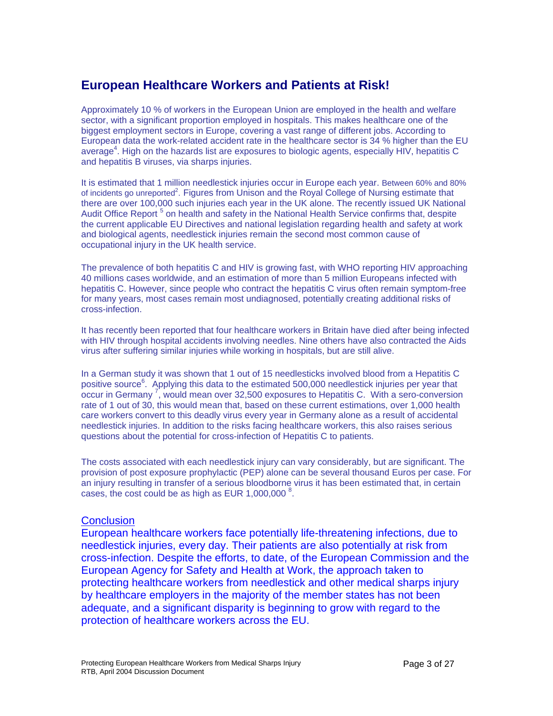### **European Healthcare Workers and Patients at Risk!**

Approximately 10 % of workers in the European Union are employed in the health and welfare sector, with a significant proportion employed in hospitals. This makes healthcare one of the biggest employment sectors in Europe, covering a vast range of different jobs. According to European data the work-related accident rate in the healthcare sector is 34 % higher than the EU average<sup>4</sup>. High on the hazards list are exposures to biologic agents, especially HIV, hepatitis C and hepatitis B viruses, via sharps injuries.

It is estimated that 1 million needlestick injuries occur in Europe each year. Between 60% and 80% of incidents go unreported<sup>2</sup>. Figures from Unison and the Royal College of Nursing estimate that there are over 100,000 such injuries each year in the UK alone. The recently issued UK National Audit Office Report<sup>5</sup> on health and safety in the National Health Service confirms that, despite the current applicable EU Directives and national legislation regarding health and safety at work and biological agents, needlestick injuries remain the second most common cause of occupational injury in the UK health service.

The prevalence of both hepatitis C and HIV is growing fast, with WHO reporting HIV approaching 40 millions cases worldwide, and an estimation of more than 5 million Europeans infected with hepatitis C. However, since people who contract the hepatitis C virus often remain symptom-free for many years, most cases remain most undiagnosed, potentially creating additional risks of cross-infection.

It has recently been reported that four healthcare workers in Britain have died after being infected with HIV through hospital accidents involving needles. Nine others have also contracted the Aids virus after suffering similar injuries while working in hospitals, but are still alive.

In a German study it was shown that 1 out of 15 needlesticks involved blood from a Hepatitis C positive source<sup>6</sup>. Applying this data to the estimated 500,000 needlestick injuries per year that occur in Germany  $\vec{r}$ , would mean over 32,500 exposures to Hepatitis C. With a sero-conversion rate of 1 out of 30, this would mean that, based on these current estimations, over 1,000 health care workers convert to this deadly virus every year in Germany alone as a result of accidental needlestick injuries. In addition to the risks facing healthcare workers, this also raises serious questions about the potential for cross-infection of Hepatitis C to patients.

The costs associated with each needlestick injury can vary considerably, but are significant. The provision of post exposure prophylactic (PEP) alone can be several thousand Euros per case. For an injury resulting in transfer of a serious bloodborne virus it has been estimated that, in certain cases, the cost could be as high as EUR  $1,000,000^8$ .

### **Conclusion**

European healthcare workers face potentially life-threatening infections, due to needlestick injuries, every day. Their patients are also potentially at risk from cross-infection. Despite the efforts, to date, of the European Commission and the European Agency for Safety and Health at Work, the approach taken to protecting healthcare workers from needlestick and other medical sharps injury by healthcare employers in the majority of the member states has not been adequate, and a significant disparity is beginning to grow with regard to the protection of healthcare workers across the EU.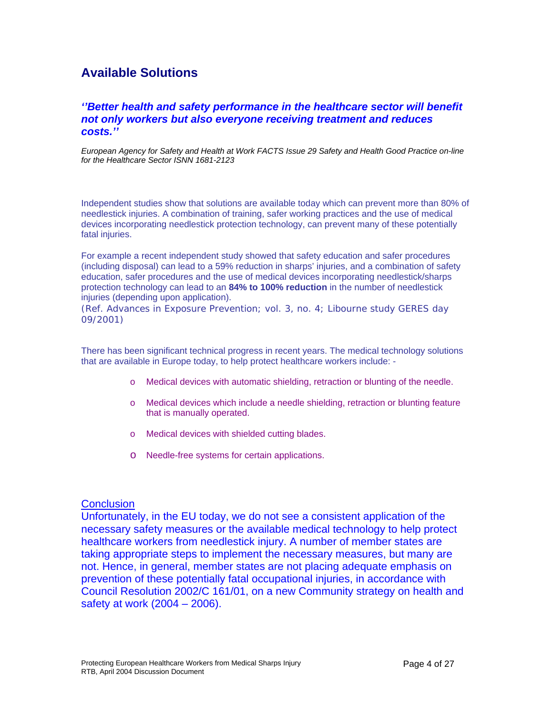### **Available Solutions**

### *''Better health and safety performance in the healthcare sector will benefit not only workers but also everyone receiving treatment and reduces costs.''*

*European Agency for Safety and Health at Work FACTS Issue 29 Safety and Health Good Practice on-line for the Healthcare Sector ISNN 1681-2123* 

Independent studies show that solutions are available today which can prevent more than 80% of needlestick injuries. A combination of training, safer working practices and the use of medical devices incorporating needlestick protection technology, can prevent many of these potentially fatal injuries.

For example a recent independent study showed that safety education and safer procedures (including disposal) can lead to a 59% reduction in sharps' injuries, and a combination of safety education, safer procedures and the use of medical devices incorporating needlestick/sharps protection technology can lead to an **84% to 100% reduction** in the number of needlestick injuries (depending upon application).

(Ref. Advances in Exposure Prevention; vol. 3, no. 4; Libourne study GERES day 09/2001)

There has been significant technical progress in recent years. The medical technology solutions that are available in Europe today, to help protect healthcare workers include: -

- o Medical devices with automatic shielding, retraction or blunting of the needle.
- o Medical devices which include a needle shielding, retraction or blunting feature that is manually operated.
- o Medical devices with shielded cutting blades.
- o Needle-free systems for certain applications.

### **Conclusion**

Unfortunately, in the EU today, we do not see a consistent application of the necessary safety measures or the available medical technology to help protect healthcare workers from needlestick injury. A number of member states are taking appropriate steps to implement the necessary measures, but many are not. Hence, in general, member states are not placing adequate emphasis on prevention of these potentially fatal occupational injuries, in accordance with Council Resolution 2002/C 161/01, on a new Community strategy on health and safety at work (2004 – 2006).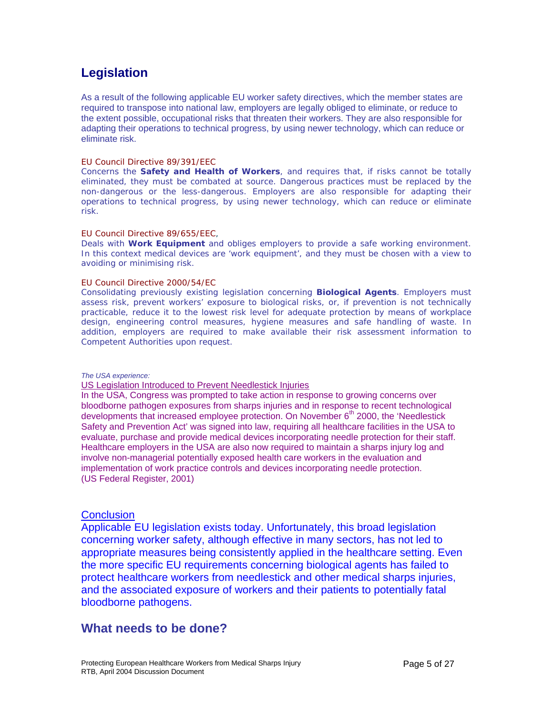### **Legislation**

As a result of the following applicable EU worker safety directives, which the member states are required to transpose into national law, employers are legally obliged to eliminate, or reduce to the extent possible, occupational risks that threaten their workers. They are also responsible for adapting their operations to technical progress, by using newer technology, which can reduce or eliminate risk.

#### EU Council Directive 89/391/EEC

Concerns the **Safety and Health of Workers**, and requires that, if risks cannot be totally eliminated, they must be combated at source. Dangerous practices must be replaced by the non-dangerous or the less-dangerous. Employers are also responsible for adapting their operations to technical progress, by using newer technology, which can reduce or eliminate risk.

#### EU Council Directive 89/655/EEC,

Deals with **Work Equipment** and obliges employers to provide a safe working environment. In this context medical devices are 'work equipment', and they must be chosen with a view to avoiding or minimising risk.

#### EU Council Directive 2000/54/EC

Consolidating previously existing legislation concerning **Biological Agents**. Employers must assess risk, prevent workers' exposure to biological risks, or, if prevention is not technically practicable, reduce it to the lowest risk level for adequate protection by means of workplace design, engineering control measures, hygiene measures and safe handling of waste. In addition, employers are required to make available their risk assessment information to Competent Authorities upon request.

#### *The USA experience:*

#### US Legislation Introduced to Prevent Needlestick Injuries

In the USA, Congress was prompted to take action in response to growing concerns over bloodborne pathogen exposures from sharps injuries and in response to recent technological developments that increased employee protection. On November  $6<sup>th</sup>$  2000, the 'Needlestick Safety and Prevention Act' was signed into law, requiring all healthcare facilities in the USA to evaluate, purchase and provide medical devices incorporating needle protection for their staff. Healthcare employers in the USA are also now required to maintain a sharps injury log and involve non-managerial potentially exposed health care workers in the evaluation and implementation of work practice controls and devices incorporating needle protection. (US Federal Register, 2001)

### **Conclusion**

Applicable EU legislation exists today. Unfortunately, this broad legislation concerning worker safety, although effective in many sectors, has not led to appropriate measures being consistently applied in the healthcare setting. Even the more specific EU requirements concerning biological agents has failed to protect healthcare workers from needlestick and other medical sharps injuries, and the associated exposure of workers and their patients to potentially fatal bloodborne pathogens.

### **What needs to be done?**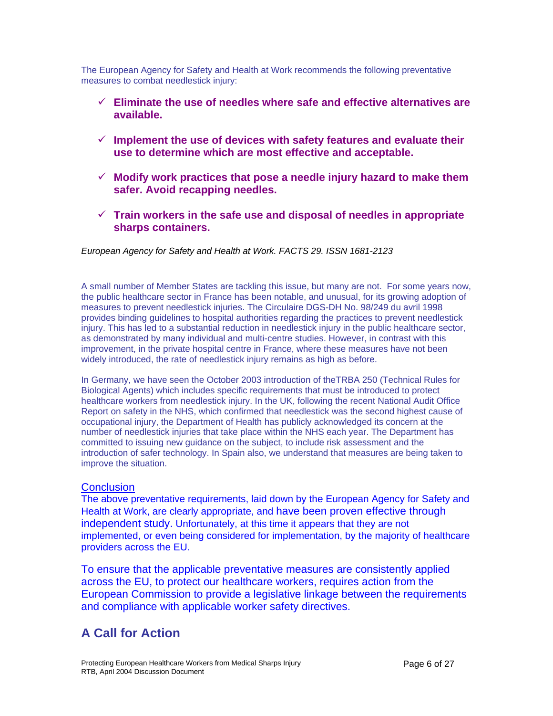The European Agency for Safety and Health at Work recommends the following preventative measures to combat needlestick injury:

- 9 **Eliminate the use of needles where safe and effective alternatives are available.**
- $\checkmark$  Implement the use of devices with safety features and evaluate their **use to determine which are most effective and acceptable.**
- 9 **Modify work practices that pose a needle injury hazard to make them safer. Avoid recapping needles.**
- $\checkmark$  Train workers in the safe use and disposal of needles in appropriate **sharps containers.**

### *European Agency for Safety and Health at Work. FACTS 29. ISSN 1681-2123*

A small number of Member States are tackling this issue, but many are not. For some years now, the public healthcare sector in France has been notable, and unusual, for its growing adoption of measures to prevent needlestick injuries. The Circulaire DGS-DH No. 98/249 du avril 1998 provides binding guidelines to hospital authorities regarding the practices to prevent needlestick injury. This has led to a substantial reduction in needlestick injury in the public healthcare sector, as demonstrated by many individual and multi-centre studies. However, in contrast with this improvement, in the private hospital centre in France, where these measures have not been widely introduced, the rate of needlestick injury remains as high as before.

In Germany, we have seen the October 2003 introduction of theTRBA 250 (Technical Rules for Biological Agents) which includes specific requirements that must be introduced to protect healthcare workers from needlestick injury. In the UK, following the recent National Audit Office Report on safety in the NHS, which confirmed that needlestick was the second highest cause of occupational injury, the Department of Health has publicly acknowledged its concern at the number of needlestick injuries that take place within the NHS each year. The Department has committed to issuing new guidance on the subject, to include risk assessment and the introduction of safer technology. In Spain also, we understand that measures are being taken to improve the situation.

### **Conclusion**

The above preventative requirements, laid down by the European Agency for Safety and Health at Work, are clearly appropriate, and have been proven effective through independent study. Unfortunately, at this time it appears that they are not implemented, or even being considered for implementation, by the majority of healthcare providers across the EU.

To ensure that the applicable preventative measures are consistently applied across the EU, to protect our healthcare workers, requires action from the European Commission to provide a legislative linkage between the requirements and compliance with applicable worker safety directives.

### **A Call for Action**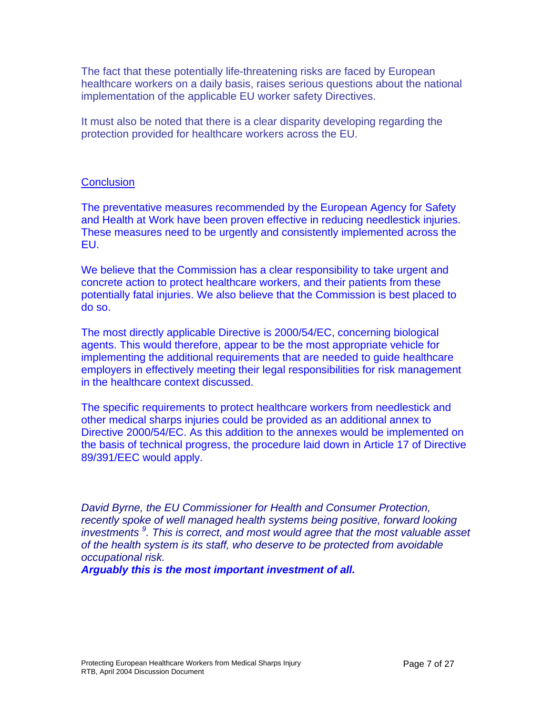The fact that these potentially life-threatening risks are faced by European healthcare workers on a daily basis, raises serious questions about the national implementation of the applicable EU worker safety Directives.

It must also be noted that there is a clear disparity developing regarding the protection provided for healthcare workers across the EU.

### **Conclusion**

The preventative measures recommended by the European Agency for Safety and Health at Work have been proven effective in reducing needlestick injuries. These measures need to be urgently and consistently implemented across the EU.

We believe that the Commission has a clear responsibility to take urgent and concrete action to protect healthcare workers, and their patients from these potentially fatal injuries. We also believe that the Commission is best placed to do so.

The most directly applicable Directive is 2000/54/EC, concerning biological agents. This would therefore, appear to be the most appropriate vehicle for implementing the additional requirements that are needed to guide healthcare employers in effectively meeting their legal responsibilities for risk management in the healthcare context discussed.

The specific requirements to protect healthcare workers from needlestick and other medical sharps injuries could be provided as an additional annex to Directive 2000/54/EC. As this addition to the annexes would be implemented on the basis of technical progress, the procedure laid down in Article 17 of Directive 89/391/EEC would apply.

*David Byrne, the EU Commissioner for Health and Consumer Protection, recently spoke of well managed health systems being positive, forward looking investments <sup>9</sup> . This is correct, and most would agree that the most valuable asset of the health system is its staff, who deserve to be protected from avoidable occupational risk.* 

*Arguably this is the most important investment of all.*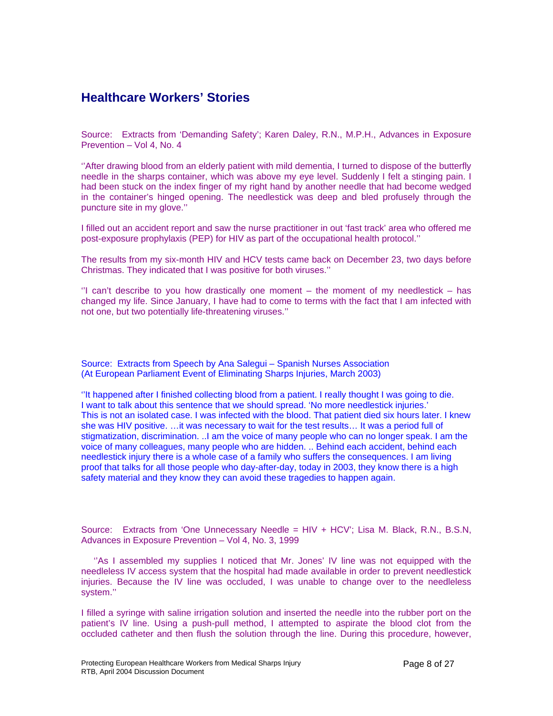### **Healthcare Workers' Stories**

Source: Extracts from 'Demanding Safety'; Karen Daley, R.N., M.P.H., Advances in Exposure Prevention – Vol 4, No. 4

''After drawing blood from an elderly patient with mild dementia, I turned to dispose of the butterfly needle in the sharps container, which was above my eye level. Suddenly I felt a stinging pain. I had been stuck on the index finger of my right hand by another needle that had become wedged in the container's hinged opening. The needlestick was deep and bled profusely through the puncture site in my glove.''

I filled out an accident report and saw the nurse practitioner in out 'fast track' area who offered me post-exposure prophylaxis (PEP) for HIV as part of the occupational health protocol.''

The results from my six-month HIV and HCV tests came back on December 23, two days before Christmas. They indicated that I was positive for both viruses.''

 $\degree$ I can't describe to you how drastically one moment – the moment of my needlestick – has changed my life. Since January, I have had to come to terms with the fact that I am infected with not one, but two potentially life-threatening viruses.''

Source: Extracts from Speech by Ana Salegui – Spanish Nurses Association (At European Parliament Event of Eliminating Sharps Injuries, March 2003)

''It happened after I finished collecting blood from a patient. I really thought I was going to die. I want to talk about this sentence that we should spread. 'No more needlestick injuries.' This is not an isolated case. I was infected with the blood. That patient died six hours later. I knew she was HIV positive. …it was necessary to wait for the test results… It was a period full of stigmatization, discrimination. ..I am the voice of many people who can no longer speak. I am the voice of many colleagues, many people who are hidden. .. Behind each accident, behind each needlestick injury there is a whole case of a family who suffers the consequences. I am living proof that talks for all those people who day-after-day, today in 2003, they know there is a high safety material and they know they can avoid these tragedies to happen again.

Source: Extracts from 'One Unnecessary Needle = HIV + HCV'; Lisa M. Black, R.N., B.S.N, Advances in Exposure Prevention – Vol 4, No. 3, 1999

"As I assembled my supplies I noticed that Mr. Jones' IV line was not equipped with the needleless IV access system that the hospital had made available in order to prevent needlestick injuries. Because the IV line was occluded, I was unable to change over to the needleless system.''

I filled a syringe with saline irrigation solution and inserted the needle into the rubber port on the patient's IV line. Using a push-pull method, I attempted to aspirate the blood clot from the occluded catheter and then flush the solution through the line. During this procedure, however,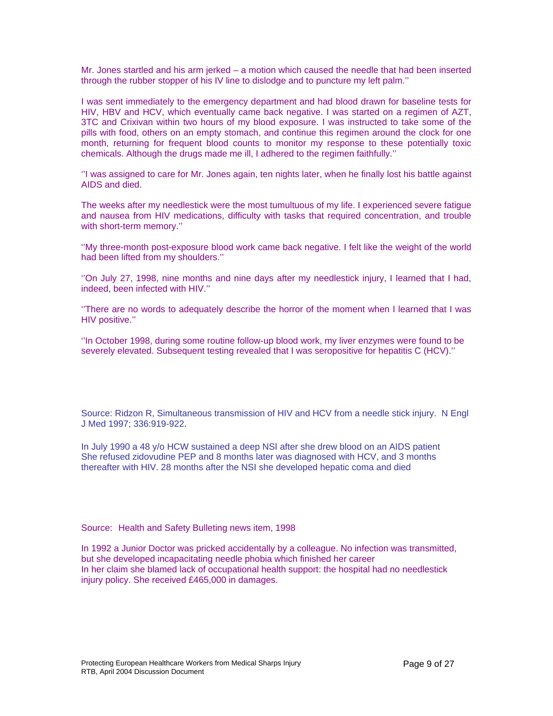Mr. Jones startled and his arm jerked – a motion which caused the needle that had been inserted through the rubber stopper of his IV line to dislodge and to puncture my left palm.''

I was sent immediately to the emergency department and had blood drawn for baseline tests for HIV, HBV and HCV, which eventually came back negative. I was started on a regimen of AZT, 3TC and Crixivan within two hours of my blood exposure. I was instructed to take some of the pills with food, others on an empty stomach, and continue this regimen around the clock for one month, returning for frequent blood counts to monitor my response to these potentially toxic chemicals. Although the drugs made me ill, I adhered to the regimen faithfully.''

''I was assigned to care for Mr. Jones again, ten nights later, when he finally lost his battle against AIDS and died.

The weeks after my needlestick were the most tumultuous of my life. I experienced severe fatigue and nausea from HIV medications, difficulty with tasks that required concentration, and trouble with short-term memory.''

''My three-month post-exposure blood work came back negative. I felt like the weight of the world had been lifted from my shoulders.''

''On July 27, 1998, nine months and nine days after my needlestick injury, I learned that I had, indeed, been infected with HIV.''

''There are no words to adequately describe the horror of the moment when I learned that I was HIV positive.''

''In October 1998, during some routine follow-up blood work, my liver enzymes were found to be severely elevated. Subsequent testing revealed that I was seropositive for hepatitis C (HCV).''

Source: Ridzon R, Simultaneous transmission of HIV and HCV from a needle stick injury. N Engl J Med 1997; 336:919-922.

In July 1990 a 48 y/o HCW sustained a deep NSI after she drew blood on an AIDS patient She refused zidovudine PEP and 8 months later was diagnosed with HCV, and 3 months thereafter with HIV. 28 months after the NSI she developed hepatic coma and died

Source: Health and Safety Bulleting news item, 1998

In 1992 a Junior Doctor was pricked accidentally by a colleague. No infection was transmitted, but she developed incapacitating needle phobia which finished her career In her claim she blamed lack of occupational health support: the hospital had no needlestick injury policy. She received £465,000 in damages.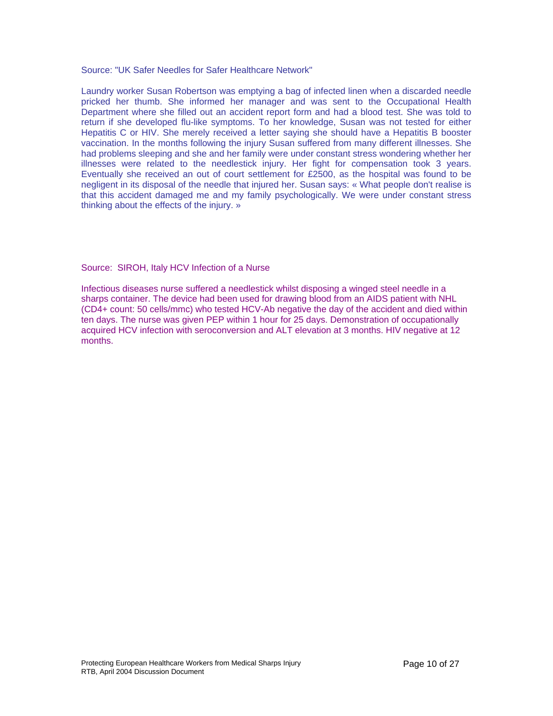Source: "UK Safer Needles for Safer Healthcare Network"

Laundry worker Susan Robertson was emptying a bag of infected linen when a discarded needle pricked her thumb. She informed her manager and was sent to the Occupational Health Department where she filled out an accident report form and had a blood test. She was told to return if she developed flu-like symptoms. To her knowledge, Susan was not tested for either Hepatitis C or HIV. She merely received a letter saying she should have a Hepatitis B booster vaccination. In the months following the injury Susan suffered from many different illnesses. She had problems sleeping and she and her family were under constant stress wondering whether her illnesses were related to the needlestick injury. Her fight for compensation took 3 years. Eventually she received an out of court settlement for £2500, as the hospital was found to be negligent in its disposal of the needle that injured her. Susan says: « What people don't realise is that this accident damaged me and my family psychologically. We were under constant stress thinking about the effects of the injury. »

Source: SIROH, Italy HCV Infection of a Nurse

Infectious diseases nurse suffered a needlestick whilst disposing a winged steel needle in a sharps container. The device had been used for drawing blood from an AIDS patient with NHL (CD4+ count: 50 cells/mmc) who tested HCV-Ab negative the day of the accident and died within ten days. The nurse was given PEP within 1 hour for 25 days. Demonstration of occupationally acquired HCV infection with seroconversion and ALT elevation at 3 months. HIV negative at 12 months.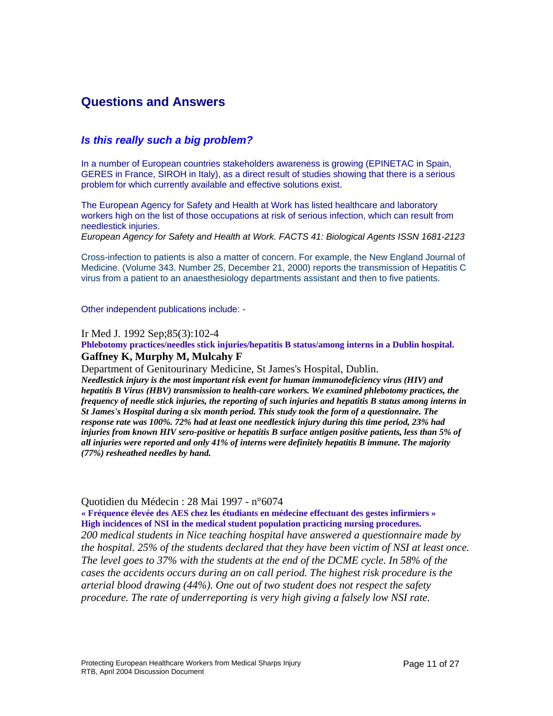### **Questions and Answers**

### *Is this really such a big problem?*

In a number of European countries stakeholders awareness is growing (EPINETAC in Spain, GERES in France, SIROH in Italy), as a direct result of studies showing that there is a serious problem for which currently available and effective solutions exist.

The European Agency for Safety and Health at Work has listed healthcare and laboratory workers high on the list of those occupations at risk of serious infection, which can result from needlestick injuries.

*European Agency for Safety and Health at Work. FACTS 41: Biological Agents ISSN 1681-2123* 

Cross-infection to patients is also a matter of concern. For example, the New England Journal of Medicine. (Volume 343. Number 25, December 21, 2000) reports the transmission of Hepatitis C virus from a patient to an anaesthesiology departments assistant and then to five patients.

Other independent publications include: -

Ir Med J. 1992 Sep;85(3):102-4

**Phlebotomy practices/needles stick injuries/hepatitis B status/among interns in a Dublin hospital. Gaffney K, Murphy M, Mulcahy F** 

Department of Genitourinary Medicine, St James's Hospital, Dublin.

*Needlestick injury is the most important risk event for human immunodeficiency virus (HIV) and hepatitis B Virus (HBV) transmission to health-care workers. We examined phlebotomy practices, the frequency of needle stick injuries, the reporting of such injuries and hepatitis B status among interns in St James's Hospital during a six month period. This study took the form of a questionnaire. The response rate was 100%. 72% had at least one needlestick injury during this time period, 23% had injuries from known HIV sero-positive or hepatitis B surface antigen positive patients, less than 5% of all injuries were reported and only 41% of interns were definitely hepatitis B immune. The majority (77%) resheathed needles by hand.*

### Quotidien du Médecin : 28 Mai 1997 - n°6074

**« Fréquence élevée des AES chez les étudiants en médecine effectuant des gestes infirmiers » High incidences of NSI in the medical student population practicing nursing procedures.** *200 medical students in Nice teaching hospital have answered a questionnaire made by the hospital. 25% of the students declared that they have been victim of NSI at least once. The level goes to 37% with the students at the end of the DCME cycle. In 58% of the cases the accidents occurs during an on call period. The highest risk procedure is the arterial blood drawing (44%). One out of two student does not respect the safety procedure. The rate of underreporting is very high giving a falsely low NSI rate.*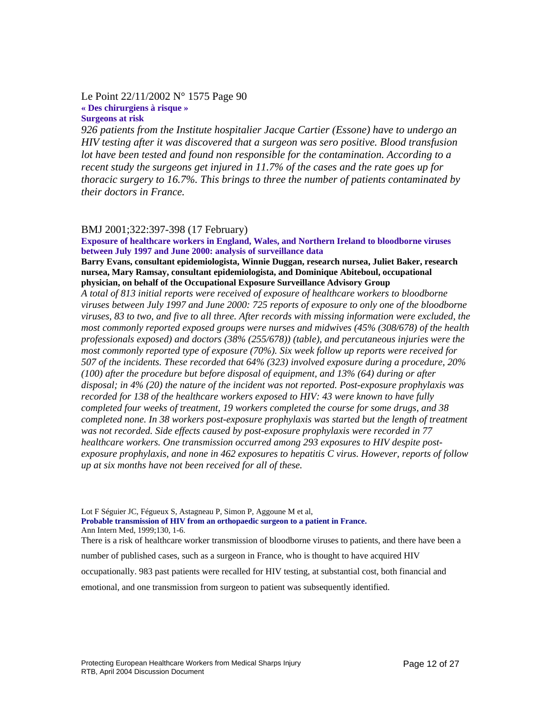### Le Point 22/11/2002 N° 1575 Page 90 **« Des chirurgiens à risque » Surgeons at risk**

*926 patients from the Institute hospitalier Jacque Cartier (Essone) have to undergo an HIV testing after it was discovered that a surgeon was sero positive. Blood transfusion lot have been tested and found non responsible for the contamination. According to a recent study the surgeons get injured in 11.7% of the cases and the rate goes up for thoracic surgery to 16.7%. This brings to three the number of patients contaminated by their doctors in France.* 

### BMJ 2001;322:397-398 (17 February)

**Exposure of healthcare workers in England, Wales, and Northern Ireland to bloodborne viruses between July 1997 and June 2000: analysis of surveillance data**

**Barry Evans, consultant epidemiologista, Winnie Duggan, research nursea, Juliet Baker, research nursea, Mary Ramsay, consultant epidemiologista, and Dominique Abiteboul, occupational physician, on behalf of the Occupational Exposure Surveillance Advisory Group**

*A total of 813 initial reports were received of exposure of healthcare workers to bloodborne viruses between July 1997 and June 2000: 725 reports of exposure to only one of the bloodborne viruses, 83 to two, and five to all three. After records with missing information were excluded, the most commonly reported exposed groups were nurses and midwives (45% (308/678) of the health professionals exposed) and doctors (38% (255/678)) (table), and percutaneous injuries were the most commonly reported type of exposure (70%). Six week follow up reports were received for 507 of the incidents. These recorded that 64% (323) involved exposure during a procedure, 20% (100) after the procedure but before disposal of equipment, and 13% (64) during or after disposal; in 4% (20) the nature of the incident was not reported. Post-exposure prophylaxis was recorded for 138 of the healthcare workers exposed to HIV: 43 were known to have fully completed four weeks of treatment, 19 workers completed the course for some drugs, and 38 completed none. In 38 workers post-exposure prophylaxis was started but the length of treatment was not recorded. Side effects caused by post-exposure prophylaxis were recorded in 77 healthcare workers. One transmission occurred among 293 exposures to HIV despite postexposure prophylaxis, and none in 462 exposures to hepatitis C virus. However, reports of follow up at six months have not been received for all of these.* 

Lot F Séguier JC, Fégueux S, Astagneau P, Simon P, Aggoune M et al, **Probable transmission of HIV from an orthopaedic surgeon to a patient in France.**  Ann Intern Med, 1999;130, 1-6.

There is a risk of healthcare worker transmission of bloodborne viruses to patients, and there have been a

number of published cases, such as a surgeon in France, who is thought to have acquired HIV

occupationally. 983 past patients were recalled for HIV testing, at substantial cost, both financial and

emotional, and one transmission from surgeon to patient was subsequently identified.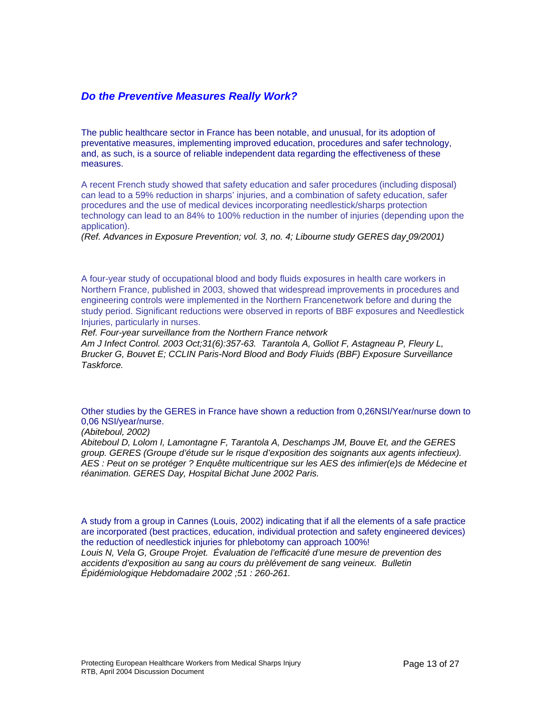### *Do the Preventive Measures Really Work?*

The public healthcare sector in France has been notable, and unusual, for its adoption of preventative measures, implementing improved education, procedures and safer technology, and, as such, is a source of reliable independent data regarding the effectiveness of these measures.

A recent French study showed that safety education and safer procedures (including disposal) can lead to a 59% reduction in sharps' injuries, and a combination of safety education, safer procedures and the use of medical devices incorporating needlestick/sharps protection technology can lead to an 84% to 100% reduction in the number of injuries (depending upon the application).

*(Ref. Advances in Exposure Prevention; vol. 3, no. 4; Libourne study GERES day 09/2001)* 

A four-year study of occupational blood and body fluids exposures in health care workers in Northern France, published in 2003, showed that widespread improvements in procedures and engineering controls were implemented in the Northern Francenetwork before and during the study period. Significant reductions were observed in reports of BBF exposures and Needlestick Injuries, particularly in nurses.

*Ref. Four-year surveillance from the Northern France network* 

*Am J Infect Control. 2003 Oct;31(6):357-63. Tarantola A, Golliot F, Astagneau P, Fleury L, Brucker G, Bouvet E; CCLIN Paris-Nord Blood and Body Fluids (BBF) Exposure Surveillance Taskforce.* 

Other studies by the GERES in France have shown a reduction from 0,26NSI/Year/nurse down to 0,06 NSI/year/nurse.

*(Abiteboul, 2002)* 

*Abiteboul D, Lolom I, Lamontagne F, Tarantola A, Deschamps JM, Bouve Et, and the GERES group. GERES (Groupe d'étude sur le risque d'exposition des soignants aux agents infectieux). AES : Peut on se protéger ? Enquête multicentrique sur les AES des infimier(e)s de Médecine et réanimation. GERES Day, Hospital Bichat June 2002 Paris.* 

A study from a group in Cannes (Louis, 2002) indicating that if all the elements of a safe practice are incorporated (best practices, education, individual protection and safety engineered devices) the reduction of needlestick injuries for phlebotomy can approach 100%! *Louis N, Vela G, Groupe Projet. Évaluation de l'efficacité d'une mesure de prevention des accidents d'exposition au sang au cours du prèlévement de sang veineux. Bulletin Épidémiologique Hebdomadaire 2002 ;51 : 260-261.*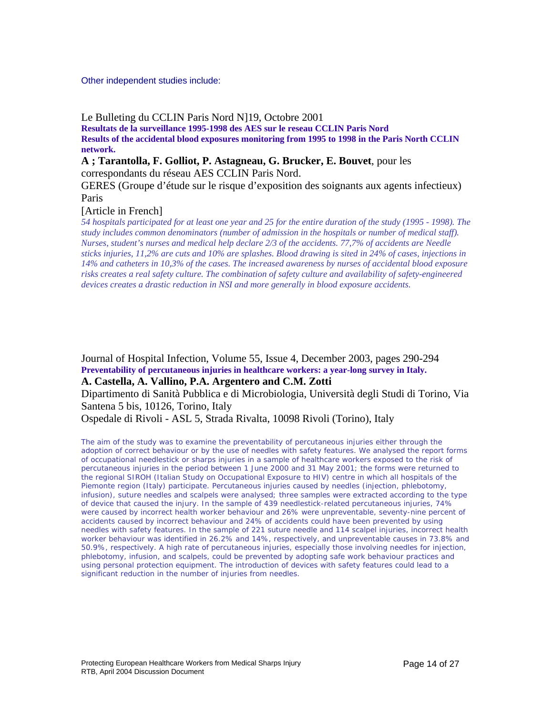#### Other independent studies include:

Le Bulleting du CCLIN Paris Nord N]19, Octobre 2001

**Resultats de la surveillance 1995-1998 des AES sur le reseau CCLIN Paris Nord Results of the accidental blood exposures monitoring from 1995 to 1998 in the Paris North CCLIN network.**

**A ; Tarantolla, F. Golliot, P. Astagneau, G. Brucker, E. Bouvet**, pour les correspondants du réseau AES CCLIN Paris Nord.

GERES (Groupe d'étude sur le risque d'exposition des soignants aux agents infectieux) Paris

[Article in French]

*54 hospitals participated for at least one year and 25 for the entire duration of the study (1995 - 1998). The study includes common denominators (number of admission in the hospitals or number of medical staff). Nurses, student's nurses and medical help declare 2/3 of the accidents. 77,7% of accidents are Needle sticks injuries, 11,2% are cuts and 10% are splashes. Blood drawing is sited in 24% of cases, injections in 14% and catheters in 10,3% of the cases. The increased awareness by nurses of accidental blood exposure risks creates a real safety culture. The combination of safety culture and availability of safety-engineered devices creates a drastic reduction in NSI and more generally in blood exposure accidents.*

Journal of Hospital Infection, Volume 55, Issue 4, December 2003, pages 290-294 **Preventability of percutaneous injuries in healthcare workers: a year-long survey in Italy. A. Castella, A. Vallino, P.A. Argentero and C.M. Zotti**

Dipartimento di Sanità Pubblica e di Microbiologia, Università degli Studi di Torino, Via Santena 5 bis, 10126, Torino, Italy

Ospedale di Rivoli - ASL 5, Strada Rivalta, 10098 Rivoli (Torino), Italy

*The aim of the study was to examine the preventability of percutaneous injuries either through the adoption of correct behaviour or by the use of needles with safety features. We analysed the report forms of occupational needlestick or sharps injuries in a sample of healthcare workers exposed to the risk of percutaneous injuries in the period between 1 June 2000 and 31 May 2001; the forms were returned to the regional SIROH (Italian Study on Occupational Exposure to HIV) centre in which all hospitals of the Piemonte region (Italy) participate. Percutaneous injuries caused by needles (injection, phlebotomy, infusion), suture needles and scalpels were analysed; three samples were extracted according to the type of device that caused the injury. In the sample of 439 needlestick-related percutaneous injuries, 74% were caused by incorrect health worker behaviour and 26% were unpreventable, seventy-nine percent of accidents caused by incorrect behaviour and 24% of accidents could have been prevented by using needles with safety features. In the sample of 221 suture needle and 114 scalpel injuries, incorrect health worker behaviour was identified in 26.2% and 14%, respectively, and unpreventable causes in 73.8% and 50.9%, respectively. A high rate of percutaneous injuries, especially those involving needles for injection, phlebotomy, infusion, and scalpels, could be prevented by adopting safe work behaviour practices and using personal protection equipment. The introduction of devices with safety features could lead to a significant reduction in the number of injuries from needles.*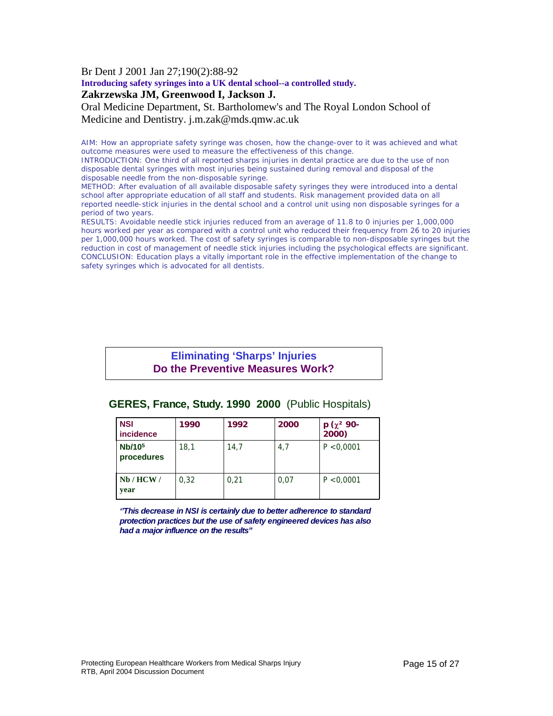Br Dent J 2001 Jan 27;190(2):88-92

**Introducing safety syringes into a UK dental school--a controlled study.**

### **Zakrzewska JM, Greenwood I, Jackson J.**

Oral Medicine Department, St. Bartholomew's and The Royal London School of Medicine and Dentistry. j.m.zak@mds.qmw.ac.uk

AIM: How an appropriate safety syringe was chosen, how the change-over to it was achieved and what outcome measures were used to measure the effectiveness of this change.

INTRODUCTION: One third of all reported sharps injuries in dental practice are due to the use of non disposable dental syringes with most injuries being sustained during removal and disposal of the disposable needle from the non-disposable syringe.

METHOD: After evaluation of all available disposable safety syringes they were introduced into a dental school after appropriate education of all staff and students. Risk management provided data on all reported needle-stick injuries in the dental school and a control unit using non disposable syringes for a period of two years.

RESULTS: Avoidable needle stick injuries reduced from an average of 11.8 to 0 injuries per 1,000,000 hours worked per year as compared with a control unit who reduced their frequency from 26 to 20 injuries per 1,000,000 hours worked. The cost of safety syringes is comparable to non-disposable syringes but the reduction in cost of management of needle stick injuries including the psychological effects are significant. CONCLUSION: Education plays a vitally important role in the effective implementation of the change to safety syringes which is advocated for all dentists.

### **Eliminating 'Sharps' Injuries Do the Preventive Measures Work?**

| <b>NSI</b><br><b>incidence</b>   | 1990 | 1992 | 2000 | $p(x^2 90 -$<br>2000) |
|----------------------------------|------|------|------|-----------------------|
| Nb/10 <sup>5</sup><br>procedures | 18,1 | 14,7 | 4,7  | P < 0.0001            |
| Nb/HCW/<br>year                  | 0.32 | 0,21 | 0,07 | P < 0,0001            |

### **GERES, France, Study. 1990 2000** (Public Hospitals)

*''This decrease in NSI is certainly due to better adherence to standard protection practices but the use of safety engineered devices has also had a major influence on the results"*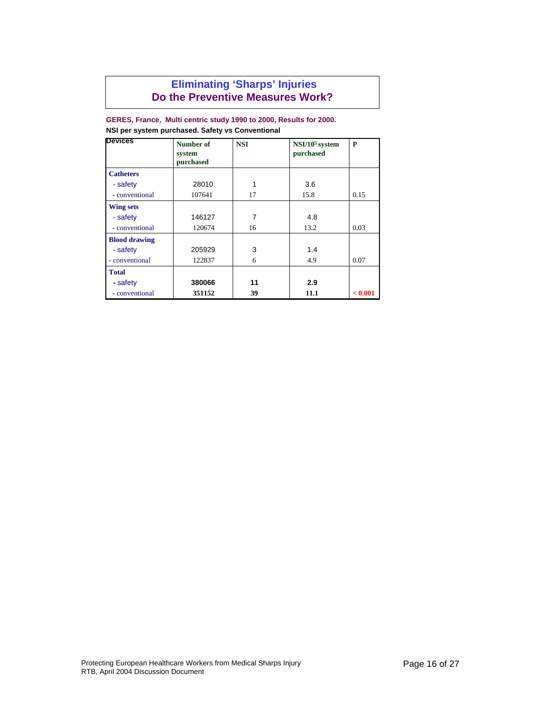### **Eliminating 'Sharps' Injuries Do the Preventive Measures Work?**

#### **GERES, France, Multi centric study 1990 to 2000, Results for 2000. NSI per system purchased. Safety vs Conventional**

| <b>Devices</b>       | Number of<br>system<br>purchased | <b>NSI</b> | $NSI/105$ system<br>purchased | P       |
|----------------------|----------------------------------|------------|-------------------------------|---------|
| <b>Catheters</b>     |                                  |            |                               |         |
| - safety             | 28010                            | 1          | 3.6                           |         |
| - conventional       | 107641                           | 17         | 15.8                          | 0.15    |
| <b>Wing sets</b>     |                                  |            |                               |         |
| - safety             | 146127                           | 7          | 4.8                           |         |
| - conventional       | 120674                           | 16         | 13.2                          | 0.03    |
| <b>Blood drawing</b> |                                  |            |                               |         |
| - safety             | 205929                           | 3          | 1.4                           |         |
| - conventional       | 122837                           | 6          | 4.9                           | 0.07    |
| <b>Total</b>         |                                  |            |                               |         |
| - safety             | 380066                           | 11         | 2.9                           |         |
| - conventional       | 351152                           | 39         | 11.1                          | < 0.001 |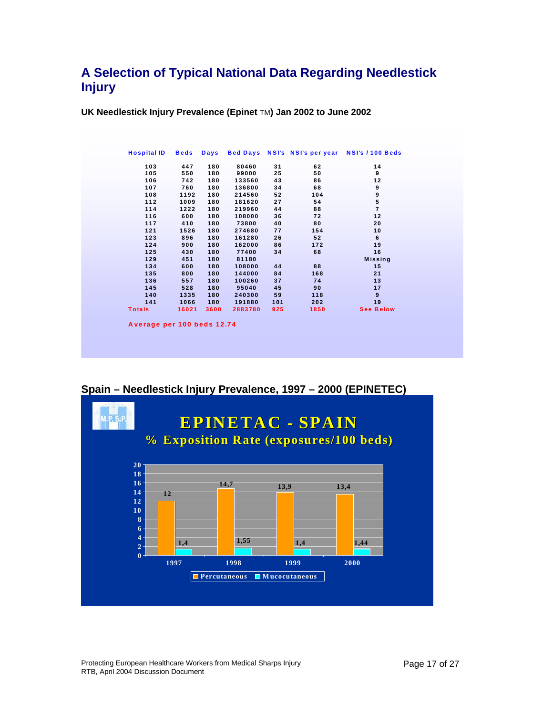### **A Selection of Typical National Data Regarding Needlestick Injury**

**UK Needlestick Injury Prevalence (Epinet** TM**) Jan 2002 to June 2002** 

| <b>Hospital ID</b>         | <b>Beds</b> | <b>Days</b> |         |     | Bed Days NSI's NSI's per year | NSI's / 100 Beds |
|----------------------------|-------------|-------------|---------|-----|-------------------------------|------------------|
| 103                        | 447         | 180         | 80460   | 31  | 62                            | 14               |
| 105                        | 550         | 180         | 99000   | 25  | 50                            | 9                |
| 106                        | 742         | 180         | 133560  | 43  | 86                            | 12               |
| 107                        | 760         | 180         | 136800  | 34  | 68                            | 9                |
| 108                        | 1192        | 180         | 214560  | 52  | 104                           | 9                |
| 112                        | 1009        | 180         | 181620  | 27  | 54                            | 5                |
| 114                        | 1222        | 180         | 219960  | 44  | 88                            | $\overline{7}$   |
| 116                        | 600         | 180         | 108000  | 36  | 72                            | 12               |
| 117                        | 410         | 180         | 73800   | 40  | 80                            | 20               |
| 121                        | 1526        | 180         | 274680  | 77  | 154                           | 10               |
| 123                        | 896         | 180         | 161280  | 26  | 52                            | 6                |
| 124                        | 900         | 180         | 162000  | 86  | 172                           | 19               |
| 125                        | 430         | 180         | 77400   | 34  | 68                            | 16               |
| 129                        | 451         | 180         | 81180   |     |                               | <b>Missing</b>   |
| 134                        | 600         | 180         | 108000  | 44  | 88                            | 15               |
| 135                        | 800         | 180         | 144000  | 84  | 168                           | 21               |
| 136                        | 557         | 180         | 100260  | 37  | 74                            | 13               |
| 145                        | 528         | 180         | 95040   | 45  | 90                            | 17               |
| 140                        | 1335        | 180         | 240300  | 59  | 118                           | 9                |
| 141                        | 1066        | 180         | 191880  | 101 | 202                           | 19               |
| <b>Totals</b>              | 16021       | 3600        | 2883780 | 925 | 1850                          | <b>See Below</b> |
|                            |             |             |         |     |                               |                  |
| Average per 100 beds 12.74 |             |             |         |     |                               |                  |

**Spain – Needlestick Injury Prevalence, 1997 – 2000 (EPINETEC)** 



Protecting European Healthcare Workers from Medical Sharps Injury RTB, April 2004 Discussion Document Page 17 of 27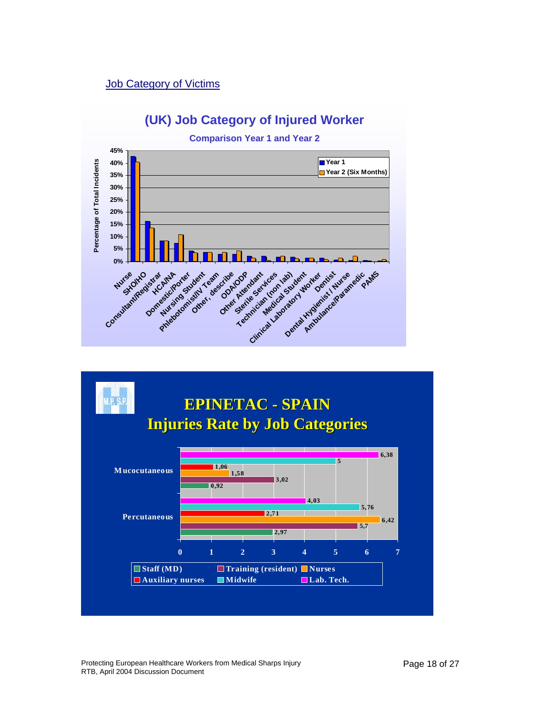### Job Category of Victims





Protecting European Healthcare Workers from Medical Sharps Injury RTB, April 2004 Discussion Document Page 18 of 27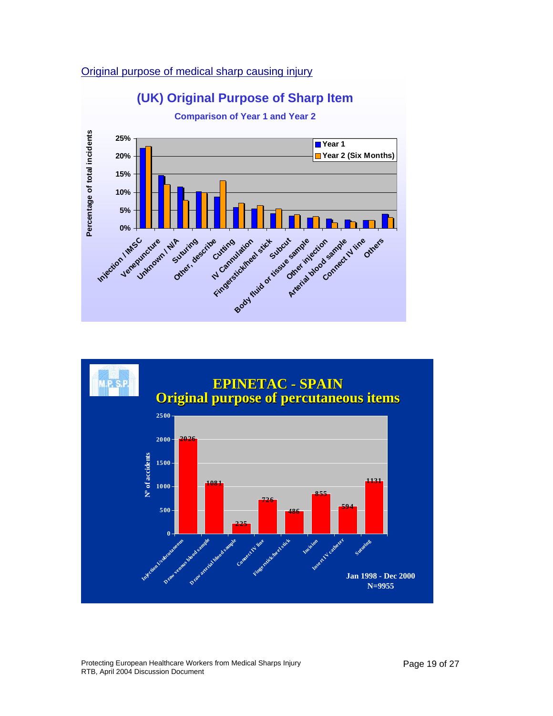### Original purpose of medical sharp causing injury





Protecting European Healthcare Workers from Medical Sharps Injury RTB, April 2004 Discussion Document Page 19 of 27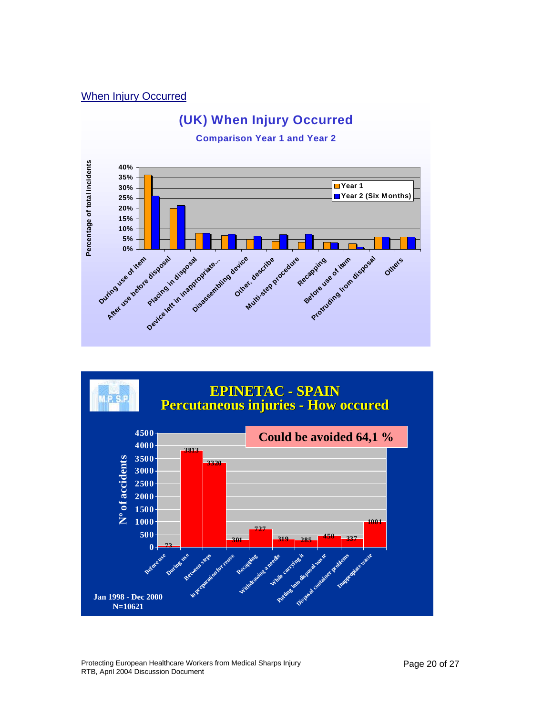### When Injury Occurred





Protecting European Healthcare Workers from Medical Sharps Injury RTB, April 2004 Discussion Document Page 20 of 27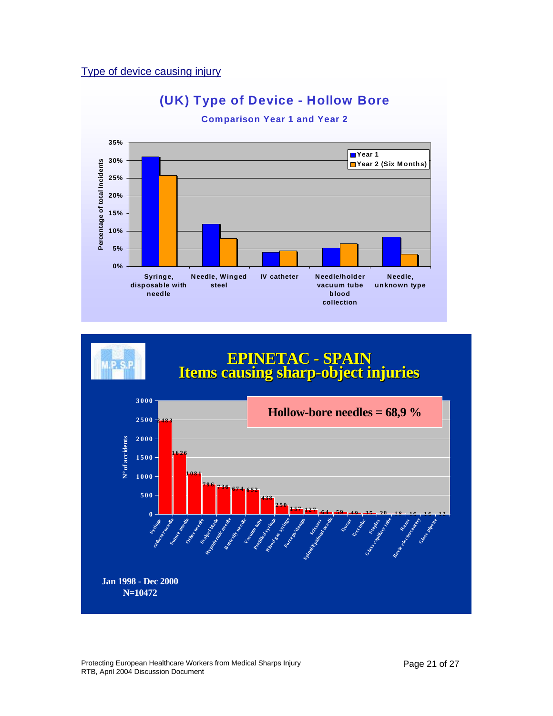### Type of device causing injury





Protecting European Healthcare Workers from Medical Sharps Injury RTB, April 2004 Discussion Document Page 21 of 27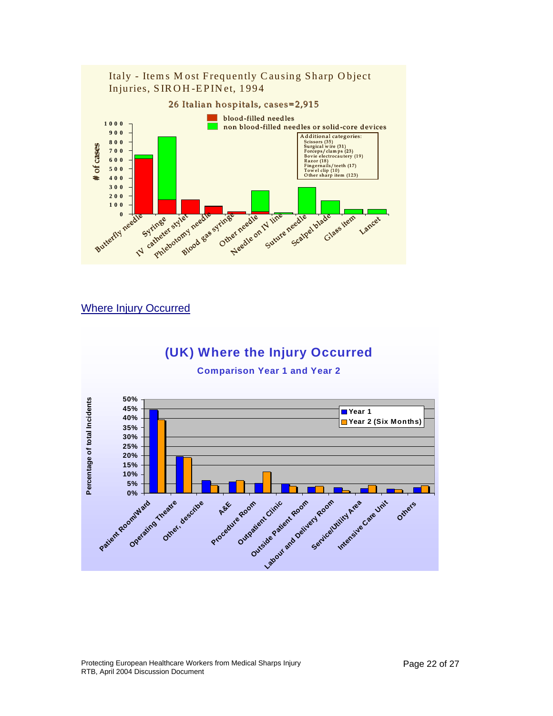

### Where Injury Occurred

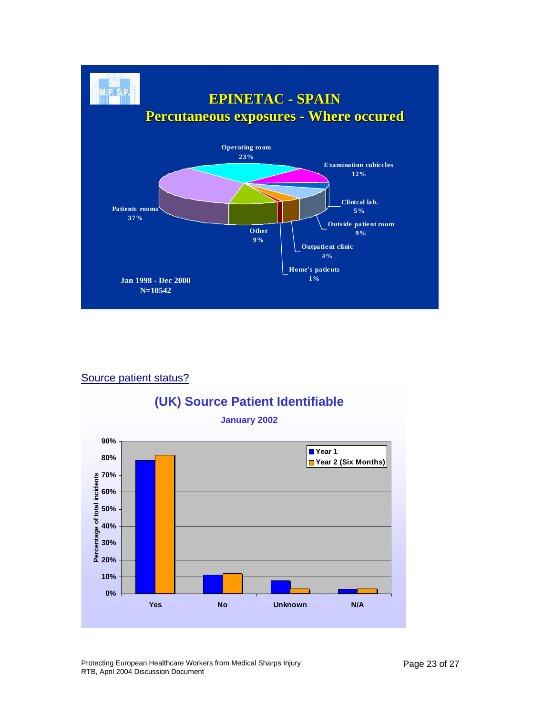

### Source patient status?



Protecting European Healthcare Workers from Medical Sharps Injury RTB, April 2004 Discussion Document Page 23 of 27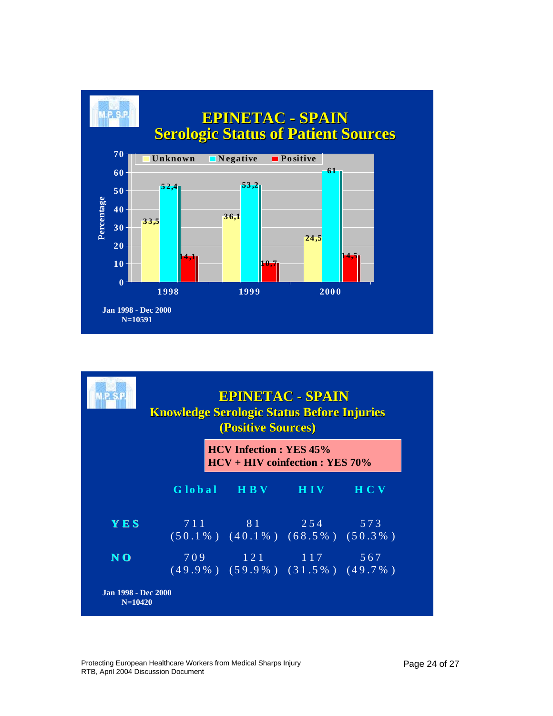

|            | <b>Knowledge Serologic Status Before Injuries</b><br>(Positive Sources) |                                                                  |  |            |  |
|------------|-------------------------------------------------------------------------|------------------------------------------------------------------|--|------------|--|
|            | <b>HCV Infection : YES 45%</b><br>$HCV + HIV$ coinfection : YES 70%     |                                                                  |  |            |  |
|            |                                                                         | Global HBV HIV                                                   |  | <b>HCV</b> |  |
| <b>YES</b> |                                                                         | 7 1 1 2 5 4 5 7 3<br>$(50.1\%)$ $(40.1\%)$ $(68.5\%)$ $(50.3\%)$ |  |            |  |
| NO         |                                                                         | 709 121 117 567<br>$(49.9\%)$ $(59.9\%)$ $(31.5\%)$ $(49.7\%)$   |  |            |  |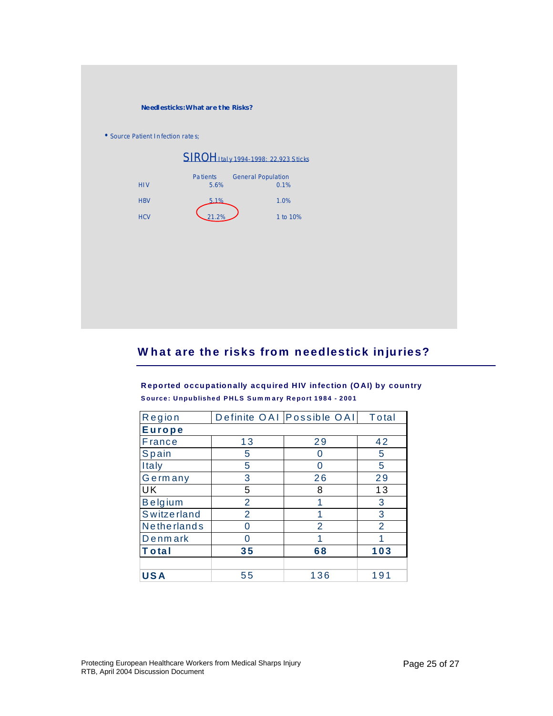|                                   | Needlesticks: What are the Risks?           |                                   |  |
|-----------------------------------|---------------------------------------------|-----------------------------------|--|
| • Source Patient Infection rates; |                                             |                                   |  |
|                                   | <b>SIROH</b> Italy 1994-1998: 22,923 Sticks |                                   |  |
| <b>HIV</b>                        | Pa tients<br>5.6%                           | <b>General Population</b><br>0.1% |  |
| <b>HBV</b>                        | 5.1%                                        | 1.0%                              |  |
| <b>HCV</b>                        | 21.2%                                       | 1 to 10%                          |  |
|                                   |                                             |                                   |  |
|                                   |                                             |                                   |  |
|                                   |                                             |                                   |  |
|                                   |                                             |                                   |  |
|                                   |                                             |                                   |  |

## **W hat are the risks from needlestick injuries?**

**R eported occupationally acquired HIV infection (O AI) by country S ource : U npublished P H LS Sum m a ry R eport 1 9 8 4 - 2 00 1**

| Region             |                | Definite OAI Possible OAI | Total          |  |  |  |
|--------------------|----------------|---------------------------|----------------|--|--|--|
| <b>Europe</b>      |                |                           |                |  |  |  |
| <b>France</b>      | 13             | 29                        | 42             |  |  |  |
| <b>Spain</b>       | 5              | 0                         | 5              |  |  |  |
| Italy              | 5              | 0                         | 5              |  |  |  |
| Germany            | 3              | 26                        | 29             |  |  |  |
| UK                 | 5              | 8                         | 13             |  |  |  |
| <b>Belgium</b>     | $\overline{2}$ | 1                         | 3              |  |  |  |
| <b>Switzerland</b> | $\overline{2}$ | 1                         | 3              |  |  |  |
| Netherlands        | 0              | $\overline{2}$            | $\overline{2}$ |  |  |  |
| Denmark            | ი              | 1                         |                |  |  |  |
| <b>Total</b>       | 35             | 68                        | 103            |  |  |  |
|                    |                |                           |                |  |  |  |
| <b>USA</b>         | 55             | 136                       | 191            |  |  |  |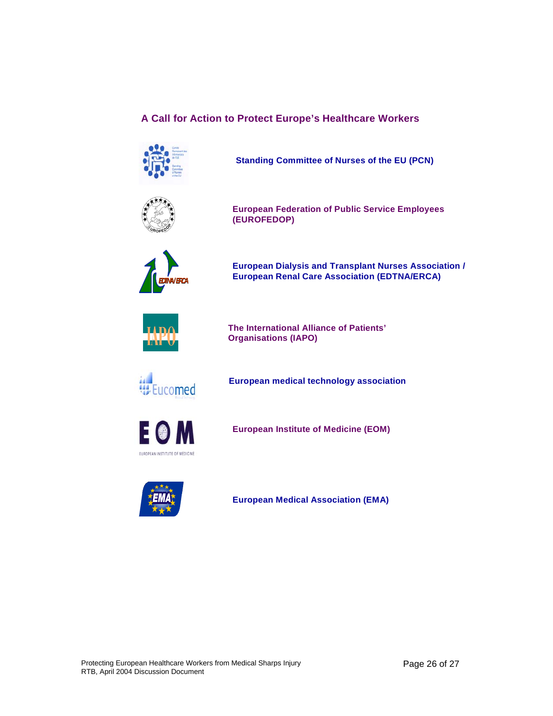### **A Call for Action to Protect Europe's Healthcare Workers**



**Standing Committee of Nurses of the EU (PCN)**



**European Federation of Public Service Employees (EUROFEDOP)**



**European Dialysis and Transplant Nurses Association / European Renal Care Association (EDTNA/ERCA)** *EDTNA /ERCA*



**The International Alliance of Patients' Organisations (IAPO)**



**European medical technology association**



**European Institute of Medicine (EOM)**



**European Medical Association (EMA)**